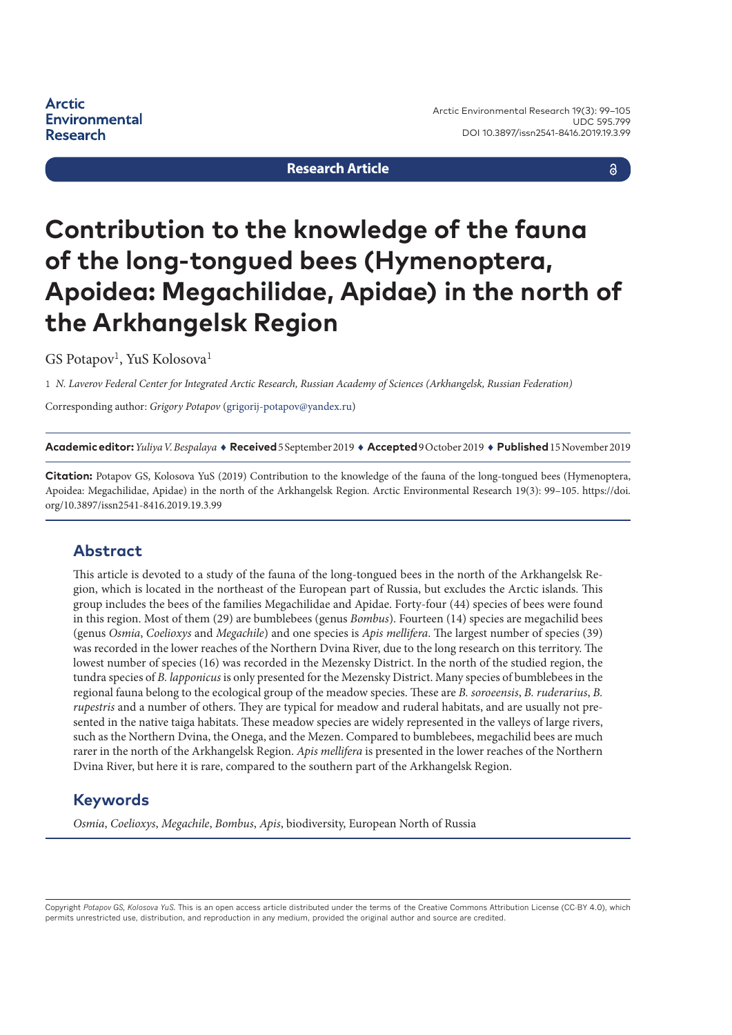**Arctic Environmental Research** 

Arctic Environmental Research 19(3): 99–105 UDC 595.799 DOI 10.3897/issn2541-8416.2019.19.3.99

**Research Article**

a

# **Contribution to the knowledge of the fauna of the long-tongued bees (Hymenoptera, Apoidea: Megachilidae, Apidae) in the north of the Arkhangelsk Region**

 $GS$  Potapov<sup>1</sup>, YuS Kolosova<sup>1</sup>

1 *N. Laverov Federal Center for Integrated Arctic Research, Russian Academy of Sciences (Arkhangelsk, Russian Federation)*

Corresponding author: *Grigory Potapov* [\(grigorij-potapov@yandex.ru](mailto:grigorij-potapov@yandex.ru))

**Academic editor:***Yuliya V. Bespalaya* ♦ **Received** 5 September 2019 ♦ **Accepted** 9 October 2019 ♦ **Published** 15 November 2019

**Citation:** Potapov GS, Kolosova YuS (2019) Contribution to the knowledge of the fauna of the long-tongued bees (Hymenoptera, Apoidea: Megachilidae, Apidae) in the north of the Arkhangelsk Region. Arctic Environmental Research 19(3): 99–105. [https://doi.](https://doi.org/10.3897/issn2541-8416.2019.19.3.99) [org/10.3897/issn2541-8416.2019.19.3.99](https://doi.org/10.3897/issn2541-8416.2019.19.3.99)

#### **Abstract**

This article is devoted to a study of the fauna of the long-tongued bees in the north of the Arkhangelsk Region, which is located in the northeast of the European part of Russia, but excludes the Arctic islands. This group includes the bees of the families Megachilidae and Apidae. Forty-four (44) species of bees were found in this region. Most of them (29) are bumblebees (genus *Bombus*). Fourteen (14) species are megachilid bees (genus *Osmia*, *Coelioxys* and *Megachile*) and one species is *Apis mellifera*. The largest number of species (39) was recorded in the lower reaches of the Northern Dvina River, due to the long research on this territory. The lowest number of species (16) was recorded in the Mezensky District. In the north of the studied region, the tundra species of *B. lapponicus* is only presented for the Mezensky District. Many species of bumblebees in the regional fauna belong to the ecological group of the meadow species. These are *B. soroeensis*, *B. ruderarius*, *B. rupestris* and a number of others. They are typical for meadow and ruderal habitats, and are usually not presented in the native taiga habitats. These meadow species are widely represented in the valleys of large rivers, such as the Northern Dvina, the Onega, and the Mezen. Compared to bumblebees, megachilid bees are much rarer in the north of the Arkhangelsk Region. *Apis mellifera* is presented in the lower reaches of the Northern Dvina River, but here it is rare, compared to the southern part of the Arkhangelsk Region.

#### **Keywords**

*Osmia*, *Coelioxys*, *Megachile*, *Bombus*, *Apis*, biodiversity, European North of Russia

Copyright *Potapov GS, Kolosova YuS.* This is an open access article distributed under the terms of the Creative Commons Attribution License (CC-BY 4.0), which permits unrestricted use, distribution, and reproduction in any medium, provided the original author and source are credited.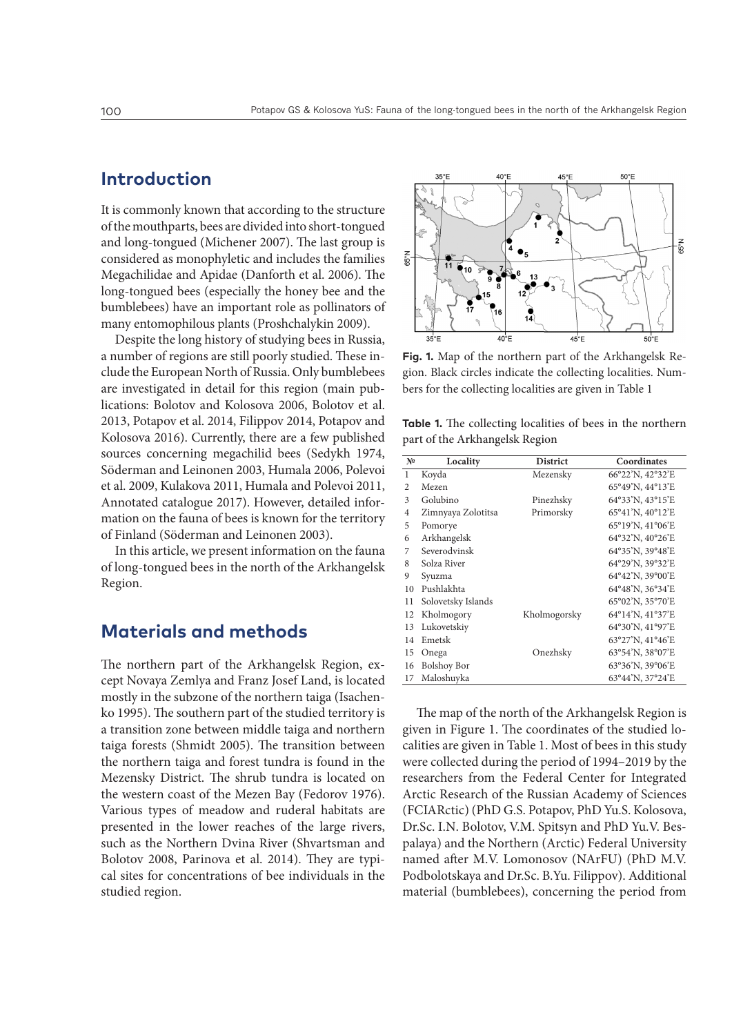## **Introduction**

It is commonly known that according to the structure of the mouthparts, bees are divided into short-tongued and long-tongued (Michener 2007). The last group is considered as monophyletic and includes the families Megachilidae and Apidae (Danforth et al. 2006). The long-tongued bees (especially the honey bee and the bumblebees) have an important role as pollinators of many entomophilous plants (Proshchalykin 2009).

Despite the long history of studying bees in Russia, a number of regions are still poorly studied. These include the European North of Russia. Only bumblebees are investigated in detail for this region (main publications: Bolotov and Kolosova 2006, Bolotov et al. 2013, Potapov et al. 2014, Filippov 2014, Potapov and Kolosova 2016). Currently, there are a few published sources concerning megachilid bees (Sedykh 1974, Söderman and Leinonen 2003, Humala 2006, Polevoi et al. 2009, Kulakova 2011, Humala and Polevoi 2011, Annotated catalogue 2017). However, detailed information on the fauna of bees is known for the territory of Finland (Söderman and Leinonen 2003).

In this article, we present information on the fauna of long-tongued bees in the north of the Arkhangelsk Region.

### **Materials and methods**

The northern part of the Arkhangelsk Region, except Novaya Zemlya and Franz Josef Land, is located mostly in the subzone of the northern taiga (Isachenko 1995). The southern part of the studied territory is a transition zone between middle taiga and northern taiga forests (Shmidt 2005). The transition between the northern taiga and forest tundra is found in the Mezensky District. The shrub tundra is located on the western coast of the Mezen Bay (Fedorov 1976). Various types of meadow and ruderal habitats are presented in the lower reaches of the large rivers, such as the Northern Dvina River (Shvartsman and Bolotov 2008, Parinova et al. 2014). They are typical sites for concentrations of bee individuals in the studied region.



**Fig. 1.** Map of the northern part of the Arkhangelsk Region. Black circles indicate the collecting localities. Numbers for the collecting localities are given in Table 1

| <b>Table 1.</b> The collecting localities of bees in the northern |  |  |
|-------------------------------------------------------------------|--|--|
| part of the Arkhangelsk Region                                    |  |  |

| N <sup>o</sup> | Locality           | <b>District</b> | Coordinates      |
|----------------|--------------------|-----------------|------------------|
| 1              | Koyda              | Mezensky        | 66°22'N, 42°32'E |
| $\overline{c}$ | Mezen              |                 | 65°49'N, 44°13'E |
| 3              | Golubino           | Pinezhsky       | 64°33'N, 43°15'E |
| $\overline{4}$ | Zimnyaya Zolotitsa | Primorsky       | 65°41'N, 40°12'E |
| 5              | Pomorye            |                 | 65°19'N, 41°06'E |
| 6              | Arkhangelsk        |                 | 64°32'N, 40°26'E |
| 7              | Severodvinsk       |                 | 64°35'N, 39°48'E |
| 8              | Solza River        |                 | 64°29'N, 39°32'E |
| 9              | Svuzma             |                 | 64°42'N, 39°00'E |
| 10             | Pushlakhta         |                 | 64°48'N, 36°34'E |
| 11             | Solovetsky Islands |                 | 65°02'N, 35°70'E |
| 12             | Kholmogory         | Kholmogorsky    | 64°14'N, 41°37'E |
| 13             | Lukovetskiy        |                 | 64°30'N, 41°97'E |
| 14             | Emetsk             |                 | 63°27'N, 41°46'E |
| 15             | Onega              | Onezhsky        | 63°54'N, 38°07'E |
| 16             | <b>Bolshoy Bor</b> |                 | 63°36'N, 39°06'E |
| 17             | Maloshuyka         |                 | 63°44'N, 37°24'E |

The map of the north of the Arkhangelsk Region is given in Figure 1. The coordinates of the studied localities are given in Table 1. Most of bees in this study were collected during the period of 1994–2019 by the researchers from the Federal Center for Integrated Arctic Research of the Russian Academy of Sciences (FCIARctic) (PhD G.S. Potapov, PhD Yu.S. Kolosova, Dr.Sc. I.N. Bolotov, V.M. Spitsyn and PhD Yu.V. Bespalaya) and the Northern (Arctic) Federal University named after M.V. Lomonosov (NArFU) (PhD M.V. Podbolotskaya and Dr.Sc. B.Yu. Filippov). Additional material (bumblebees), concerning the period from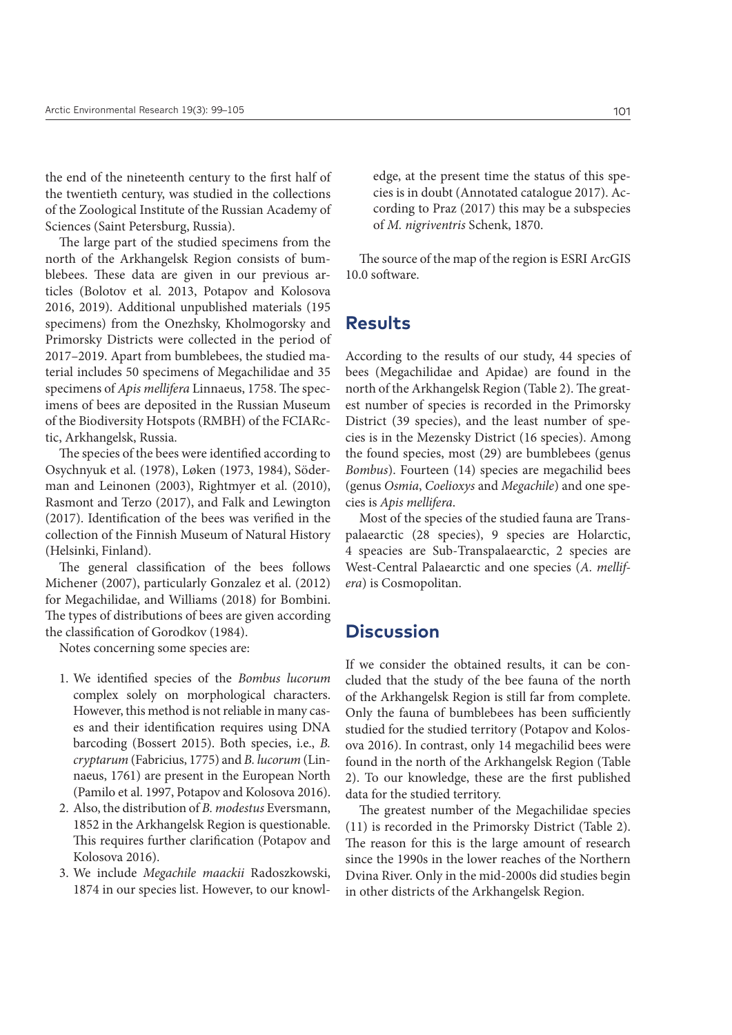the end of the nineteenth century to the first half of the twentieth century, was studied in the collections of the Zoological Institute of the Russian Academy of Sciences (Saint Petersburg, Russia).

The large part of the studied specimens from the north of the Arkhangelsk Region consists of bumblebees. These data are given in our previous articles (Bolotov et al. 2013, Potapov and Kolosova 2016, 2019). Additional unpublished materials (195 specimens) from the Onezhsky, Kholmogorsky and Primorsky Districts were collected in the period of 2017–2019. Apart from bumblebees, the studied material includes 50 specimens of Megachilidae and 35 specimens of *Apis mellifera* Linnaeus, 1758. The specimens of bees are deposited in the Russian Museum of the Biodiversity Hotspots (RMBH) of the FCIARctic, Arkhangelsk, Russia.

The species of the bees were identified according to Osychnyuk et al. (1978), Løken (1973, 1984), Söderman and Leinonen (2003), Rightmyer et al. (2010), Rasmont and Terzo (2017), and Falk and Lewington (2017). Identification of the bees was verified in the collection of the Finnish Museum of Natural History (Helsinki, Finland).

The general classification of the bees follows Michener (2007), particularly Gonzalez et al. (2012) for Megachilidae, and Williams (2018) for Bombini. The types of distributions of bees are given according the classification of Gorodkov (1984).

Notes concerning some species are:

- 1. We identified species of the *Bombus lucorum* complex solely on morphological characters. However, this method is not reliable in many cases and their identification requires using DNA barcoding (Bossert 2015). Both species, i.e., *B. cryptarum* (Fabricius, 1775) and *B. lucorum* (Linnaeus, 1761) are present in the European North (Pamilo et al. 1997, Potapov and Kolosova 2016).
- 2. Also, the distribution of *B. modestus* Eversmann, 1852 in the Arkhangelsk Region is questionable. This requires further clarification (Potapov and Kolosova 2016).
- 3. We include *Megachile maackii* Radoszkowski, 1874 in our species list. However, to our knowl-

edge, at the present time the status of this species is in doubt (Annotated catalogue 2017). According to Praz (2017) this may be a subspecies of *M. nigriventris* Schenk, 1870.

The source of the map of the region is ESRI ArcGIS 10.0 software.

#### **Results**

According to the results of our study, 44 species of bees (Megachilidae and Apidae) are found in the north of the Arkhangelsk Region (Table 2). The greatest number of species is recorded in the Primorsky District (39 species), and the least number of species is in the Mezensky District (16 species). Among the found species, most (29) are bumblebees (genus *Bombus*). Fourteen (14) species are megachilid bees (genus *Osmia*, *Coelioxys* and *Megachile*) and one species is *Apis mellifera*.

Most of the species of the studied fauna are Transpalaearctic (28 species), 9 species are Holarctic, 4 speacies are Sub-Transpalaearctic, 2 species are West-Central Palaearctic and one species (*A. mellifera*) is Cosmopolitan.

#### **Discussion**

If we consider the obtained results, it can be concluded that the study of the bee fauna of the north of the Arkhangelsk Region is still far from complete. Only the fauna of bumblebees has been sufficiently studied for the studied territory (Potapov and Kolosova 2016). In contrast, only 14 megachilid bees were found in the north of the Arkhangelsk Region (Table 2). To our knowledge, these are the first published data for the studied territory.

The greatest number of the Megachilidae species (11) is recorded in the Primorsky District (Table 2). The reason for this is the large amount of research since the 1990s in the lower reaches of the Northern Dvina River. Only in the mid-2000s did studies begin in other districts of the Arkhangelsk Region.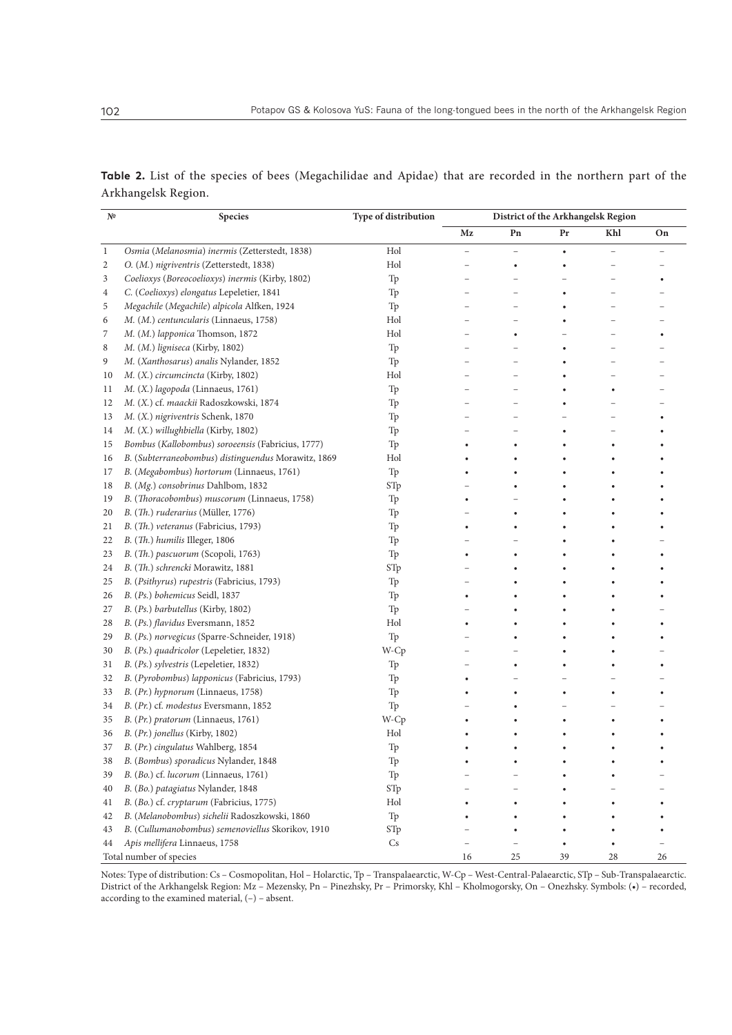| Table 2. List of the species of bees (Megachilidae and Apidae) that are recorded in the northern part of the |  |  |  |  |  |
|--------------------------------------------------------------------------------------------------------------|--|--|--|--|--|
| Arkhangelsk Region.                                                                                          |  |  |  |  |  |

| N <sup>o</sup> | Species                                             | Type of distribution | District of the Arkhangelsk Region |                          |           |                          |    |
|----------------|-----------------------------------------------------|----------------------|------------------------------------|--------------------------|-----------|--------------------------|----|
|                |                                                     |                      | Mz                                 | Pn                       | Pr        | Khl                      | On |
| $\mathbf{1}$   | Osmia (Melanosmia) inermis (Zetterstedt, 1838)      | Hol                  |                                    | $\overline{\phantom{0}}$ | $\bullet$ | $\overline{\phantom{a}}$ |    |
| 2              | O. (M.) nigriventris (Zetterstedt, 1838)            | Hol                  |                                    |                          |           |                          |    |
| 3              | Coelioxys (Boreocoelioxys) inermis (Kirby, 1802)    | Tp                   |                                    |                          |           |                          |    |
| 4              | C. (Coelioxys) elongatus Lepeletier, 1841           | Tp                   |                                    |                          |           |                          |    |
| 5              | Megachile (Megachile) alpicola Alfken, 1924         | Tp                   |                                    |                          |           |                          |    |
| 6              | M. (M.) centuncularis (Linnaeus, 1758)              | Hol                  |                                    |                          |           |                          |    |
| 7              | M. (M.) lapponica Thomson, 1872                     | Hol                  |                                    |                          |           |                          |    |
| 8              | M. (M.) ligniseca (Kirby, 1802)                     | Tp                   |                                    |                          |           |                          |    |
| 9              | M. (Xanthosarus) analis Nylander, 1852              | Tp                   |                                    |                          |           |                          |    |
| 10             | M. (X.) circumcincta (Kirby, 1802)                  | Hol                  |                                    |                          |           |                          |    |
| 11             | M. (X.) lagopoda (Linnaeus, 1761)                   | Tp                   |                                    |                          |           |                          |    |
| 12             | M. (X.) cf. maackii Radoszkowski, 1874              | Tp                   |                                    |                          |           |                          |    |
| 13             | M. (X.) nigriventris Schenk, 1870                   | Tp                   |                                    |                          |           |                          |    |
| 14             | M. (X.) willughbiella (Kirby, 1802)                 | Tp                   |                                    |                          |           |                          |    |
| 15             | Bombus (Kallobombus) soroeensis (Fabricius, 1777)   | Tp                   |                                    |                          |           |                          |    |
| 16             | B. (Subterraneobombus) distinguendus Morawitz, 1869 | Hol                  |                                    |                          |           |                          |    |
| 17             | B. (Megabombus) hortorum (Linnaeus, 1761)           | Tp                   |                                    |                          |           |                          |    |
| 18             | B. (Mg.) consobrinus Dahlbom, 1832                  | STp                  |                                    |                          |           |                          |    |
| 19             | B. (Thoracobombus) muscorum (Linnaeus, 1758)        | Tp                   |                                    |                          |           |                          |    |
| 20             | B. (Th.) ruderarius (Müller, 1776)                  | Tp                   |                                    |                          |           |                          |    |
| 21             | B. (Th.) veteranus (Fabricius, 1793)                | Tp                   |                                    |                          |           |                          |    |
| 22             | B. (Th.) humilis Illeger, 1806                      | Tp                   |                                    |                          |           |                          |    |
| 23             | B. (Th.) pascuorum (Scopoli, 1763)                  | Tp                   |                                    |                          |           |                          |    |
| 24             | B. (Th.) schrencki Morawitz, 1881                   | STp                  |                                    |                          |           |                          |    |
| 25             | B. (Psithyrus) rupestris (Fabricius, 1793)          | Tp                   |                                    |                          |           |                          |    |
| 26             | B. (Ps.) bohemicus Seidl, 1837                      | Tp                   |                                    |                          |           |                          |    |
| 27             | B. (Ps.) barbutellus (Kirby, 1802)                  | Tp                   |                                    |                          |           |                          |    |
| 28             | B. (Ps.) flavidus Eversmann, 1852                   | Hol                  |                                    |                          |           |                          |    |
| 29             | B. (Ps.) norvegicus (Sparre-Schneider, 1918)        | Tp                   |                                    |                          |           |                          |    |
| 30             | B. (Ps.) quadricolor (Lepeletier, 1832)             | W-Cp                 |                                    |                          |           |                          |    |
| 31             | B. (Ps.) sylvestris (Lepeletier, 1832)              | Tp                   |                                    |                          |           |                          |    |
| 32             | B. (Pyrobombus) lapponicus (Fabricius, 1793)        | Tp                   |                                    |                          |           |                          |    |
| 33             | B. (Pr.) hypnorum (Linnaeus, 1758)                  | Tp                   |                                    |                          |           | $\bullet$                |    |
| 34             | B. (Pr.) cf. modestus Eversmann, 1852               | Tp                   |                                    |                          |           |                          |    |
| 35             | B. (Pr.) pratorum (Linnaeus, 1761)                  | W-Cp                 |                                    |                          |           |                          |    |
| 36             | B. (Pr.) jonellus (Kirby, 1802)                     | Hol                  |                                    |                          |           |                          |    |
| 37             | B. (Pr.) cingulatus Wahlberg, 1854                  | Tp                   |                                    |                          |           |                          |    |
| 38             | B. (Bombus) sporadicus Nylander, 1848               | Tp                   |                                    |                          |           |                          |    |
| 39             | B. (Bo.) cf. lucorum (Linnaeus, 1761)               | Tp                   |                                    |                          |           |                          |    |
| 40             | B. (Bo.) patagiatus Nylander, 1848                  | STp                  |                                    |                          |           |                          |    |
| 41             | B. (Bo.) cf. cryptarum (Fabricius, 1775)            | Hol                  |                                    |                          |           |                          |    |
| 42             | B. (Melanobombus) sichelii Radoszkowski, 1860       | Tp                   |                                    |                          |           |                          |    |
| 43             | B. (Cullumanobombus) semenoviellus Skorikov, 1910   | STp                  |                                    |                          |           |                          |    |
| 44             | Apis mellifera Linnaeus, 1758                       | Cs                   |                                    |                          |           |                          |    |
|                | Total number of species                             |                      | 16                                 | 25                       | 39        | 28                       | 26 |

Notes: Type of distribution: Cs – Cosmopolitan, Hol – Holarctic, Тр – Transpalaearctic, W-Cp – West-Central-Palaearctic, STp – Sub-Transpalaearctic. District of the Arkhangelsk Region: Mz – Mezensky, Pn – Pinezhsky, Pr – Primorsky, Khl – Kholmogorsky, On – Onezhsky. Symbols: (•) – recorded, according to the examined material,  $(-)$  – absent.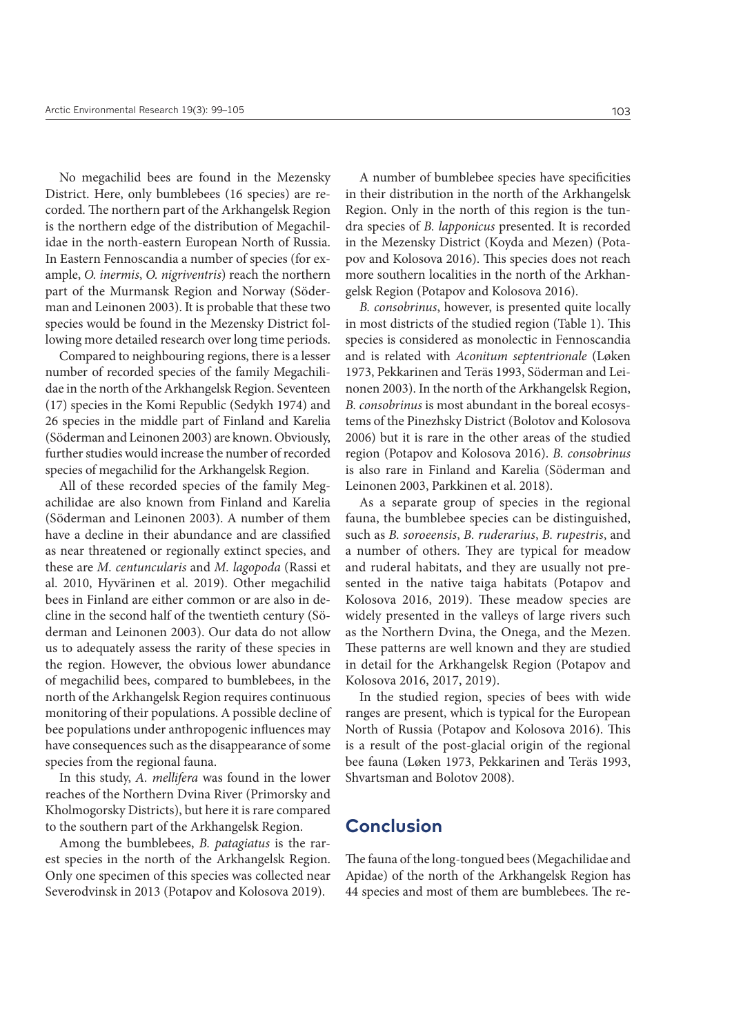No megachilid bees are found in the Mezensky District. Here, only bumblebees (16 species) are recorded. The northern part of the Arkhangelsk Region is the northern edge of the distribution of Megachilidae in the north-eastern European North of Russia. In Eastern Fennoscandia a number of species (for example, *O. inermis*, *O. nigriventris*) reach the northern part of the Murmansk Region and Norway (Söderman and Leinonen 2003). It is probable that these two species would be found in the Mezensky District following more detailed research over long time periods.

Compared to neighbouring regions, there is a lesser number of recorded species of the family Megachilidae in the north of the Arkhangelsk Region. Seventeen (17) species in the Komi Republic (Sedykh 1974) and 26 species in the middle part of Finland and Karelia (Söderman and Leinonen 2003) are known. Obviously, further studies would increase the number of recorded species of megachilid for the Arkhangelsk Region.

All of these recorded species of the family Megachilidae are also known from Finland and Karelia (Söderman and Leinonen 2003). A number of them have a decline in their abundance and are classified as near threatened or regionally extinct species, and these are *M. centuncularis* and *M. lagopoda* (Rassi et al. 2010, Hyvärinen et al. 2019). Other megachilid bees in Finland are either common or are also in decline in the second half of the twentieth century (Söderman and Leinonen 2003). Our data do not allow us to adequately assess the rarity of these species in the region. However, the obvious lower abundance of megachilid bees, compared to bumblebees, in the north of the Arkhangelsk Region requires continuous monitoring of their populations. A possible decline of bee populations under anthropogenic influences may have consequences such as the disappearance of some species from the regional fauna.

In this study, *A. mellifera* was found in the lower reaches of the Northern Dvina River (Primorsky and Kholmogorsky Districts), but here it is rare compared to the southern part of the Arkhangelsk Region.

Among the bumblebees, *B. patagiatus* is the rarest species in the north of the Arkhangelsk Region. Only one specimen of this species was collected near Severodvinsk in 2013 (Potapov and Kolosova 2019).

A number of bumblebee species have specificities in their distribution in the north of the Arkhangelsk Region. Only in the north of this region is the tundra species of *B. lapponicus* presented. It is recorded in the Mezensky District (Koyda and Mezen) (Potapov and Kolosova 2016). This species does not reach more southern localities in the north of the Arkhangelsk Region (Potapov and Kolosova 2016).

*B. consobrinus*, however, is presented quite locally in most districts of the studied region (Table 1). This species is considered as monolectic in Fennoscandia and is related with *Aconitum septentrionale* (Løken 1973, Pekkarinen and Teräs 1993, Söderman and Leinonen 2003). In the north of the Arkhangelsk Region, *B. consobrinus* is most abundant in the boreal ecosystems of the Pinezhsky District (Bolotov and Kolosova 2006) but it is rare in the other areas of the studied region (Potapov and Kolosova 2016). *B. consobrinus* is also rare in Finland and Karelia (Söderman and Leinonen 2003, Parkkinen et al. 2018).

As a separate group of species in the regional fauna, the bumblebee species can be distinguished, such as *B. soroeensis*, *B. ruderarius*, *B. rupestris*, and a number of others. They are typical for meadow and ruderal habitats, and they are usually not presented in the native taiga habitats (Potapov and Kolosova 2016, 2019). These meadow species are widely presented in the valleys of large rivers such as the Northern Dvina, the Onega, and the Mezen. These patterns are well known and they are studied in detail for the Arkhangelsk Region (Potapov and Kolosova 2016, 2017, 2019).

In the studied region, species of bees with wide ranges are present, which is typical for the European North of Russia (Potapov and Kolosova 2016). This is a result of the post-glacial origin of the regional bee fauna (Løken 1973, Pekkarinen and Teräs 1993, Shvartsman and Bolotov 2008).

#### **Conclusion**

The fauna of the long-tongued bees (Megachilidae and Apidae) of the north of the Arkhangelsk Region has 44 species and most of them are bumblebees. The re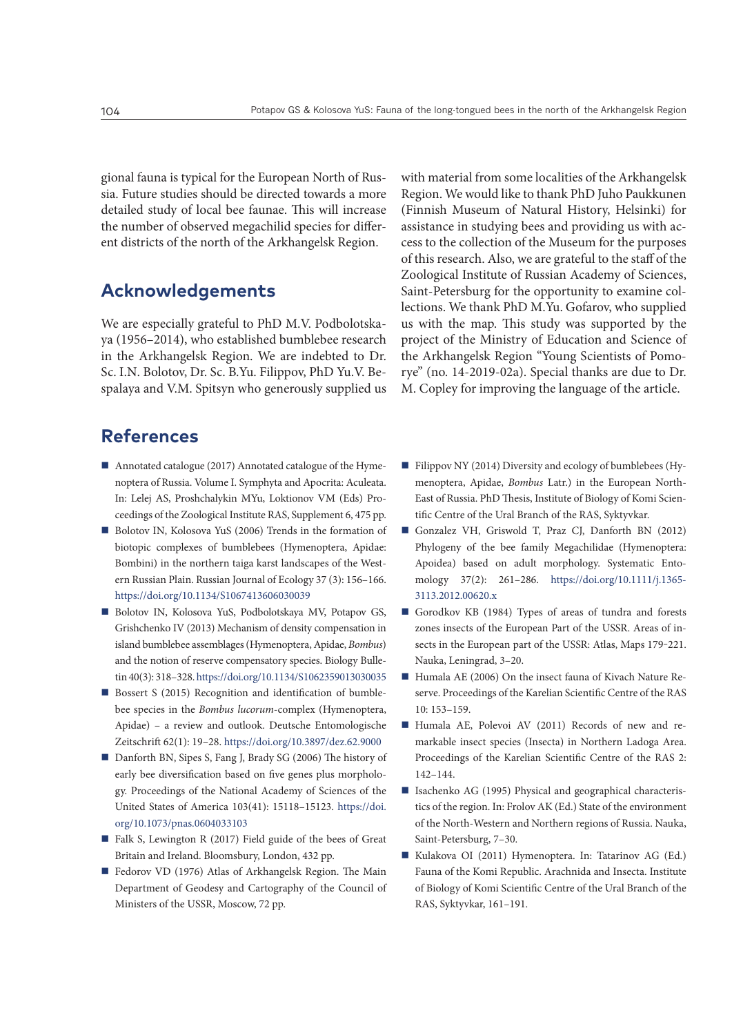gional fauna is typical for the European North of Russia. Future studies should be directed towards a more detailed study of local bee faunae. This will increase the number of observed megachilid species for different districts of the north of the Arkhangelsk Region.

## **Acknowledgements**

We are especially grateful to PhD M.V. Podbolotskaya (1956–2014), who established bumblebee research in the Arkhangelsk Region. We are indebted to Dr. Sc. I.N. Bolotov, Dr. Sc. B.Yu. Filippov, PhD Yu.V. Bespalaya and V.M. Spitsyn who generously supplied us with material from some localities of the Arkhangelsk Region. We would like to thank PhD Juho Paukkunen (Finnish Museum of Natural History, Helsinki) for assistance in studying bees and providing us with access to the collection of the Museum for the purposes of this research. Also, we are grateful to the staff of the Zoological Institute of Russian Academy of Sciences, Saint-Petersburg for the opportunity to examine collections. We thank PhD M.Yu. Gofarov, who supplied us with the map. This study was supported by the project of the Ministry of Education and Science of the Arkhangelsk Region "Young Scientists of Pomorye" (no. 14-2019-02а). Special thanks are due to Dr. M. Copley for improving the language of the article.

# **References**

- Annotated catalogue (2017) Annotated catalogue of the Hymenoptera of Russia. Volume I. Symphyta and Apocrita: Aculeata. In: Lelej AS, Proshchalykin MYu, Loktionov VM (Eds) Proceedings of the Zoological Institute RAS, Supplement 6, 475 pp.
- Bolotov IN, Kolosova YuS (2006) Trends in the formation of biotopic complexes of bumblebees (Hymenoptera, Apidae: Bombini) in the northern taiga karst landscapes of the Western Russian Plain. Russian Journal of Ecology 37 (3): 156–166. <https://doi.org/10.1134/S1067413606030039>
- Bolotov IN, Kolosova YuS, Podbolotskaya MV, Potapov GS, Grishchenko IV (2013) Mechanism of density compensation in island bumblebee assemblages (Hymenoptera, Apidae, *Bombus*) and the notion of reserve compensatory species. Biology Bulletin 40(3): 318–328.<https://doi.org/10.1134/S1062359013030035>
- Bossert S (2015) Recognition and identification of bumblebee species in the *Bombus lucorum*-complex (Hymenoptera, Apidae) – a review and outlook. Deutsche Entomologische Zeitschrift 62(1): 19–28.<https://doi.org/10.3897/dez.62.9000>
- Danforth BN, Sipes S, Fang J, Brady SG (2006) The history of early bee diversification based on five genes plus morphology. Proceedings of the National Academy of Sciences of the United States of America 103(41): 15118–15123. [https://doi.](https://doi.org/10.1073/pnas.0604033103) [org/10.1073/pnas.0604033103](https://doi.org/10.1073/pnas.0604033103)
- Falk S, Lewington R (2017) Field guide of the bees of Great Britain and Ireland. Bloomsbury, London, 432 pp.
- Fedorov VD (1976) Atlas of Arkhangelsk Region. The Main Department of Geodesy and Cartography of the Council of Ministers of the USSR, Moscow, 72 pp.
- Filippov NY (2014) Diversity and ecology of bumblebees (Hymenoptera, Apidae, *Bombus* Latr.) in the European North-East of Russia. PhD Thesis, Institute of Biology of Komi Scientific Centre of the Ural Branch of the RAS, Syktyvkar.
- Gonzalez VH, Griswold T, Praz CJ, Danforth BN (2012) Phylogeny of the bee family Megachilidae (Hymenoptera: Apoidea) based on adult morphology. Systematic Entomology 37(2): 261–286. [https://doi.org/10.1111/j.1365-](https://doi.org/10.1111/j.1365-3113.2012.00620.x) [3113.2012.00620.x](https://doi.org/10.1111/j.1365-3113.2012.00620.x)
- Gorodkov KB (1984) Types of areas of tundra and forests zones insects of the European Part of the USSR. Areas of insects in the European part of the USSR: Atlas, Maps 179-221. Nauka, Leningrad, 3–20.
- Humala AE (2006) On the insect fauna of Kivach Nature Reserve. Proceedings of the Karelian Scientific Centre of the RAS 10: 153–159.
- Humala AE, Polevoi AV (2011) Records of new and remarkable insect species (Insecta) in Northern Ladoga Area. Proceedings of the Karelian Scientific Centre of the RAS 2: 142–144.
- Isachenko AG (1995) Physical and geographical characteristics of the region. In: Frolov AK (Ed.) State of the environment of the North-Western and Northern regions of Russia. Nauka, Saint-Petersburg, 7–30.
- Kulakova OI (2011) Hymenoptera. In: Tatarinov AG (Ed.) Fauna of the Komi Republic. Arachnida and Insecta. Institute of Biology of Komi Scientific Centre of the Ural Branch of the RAS, Syktyvkar, 161–191.